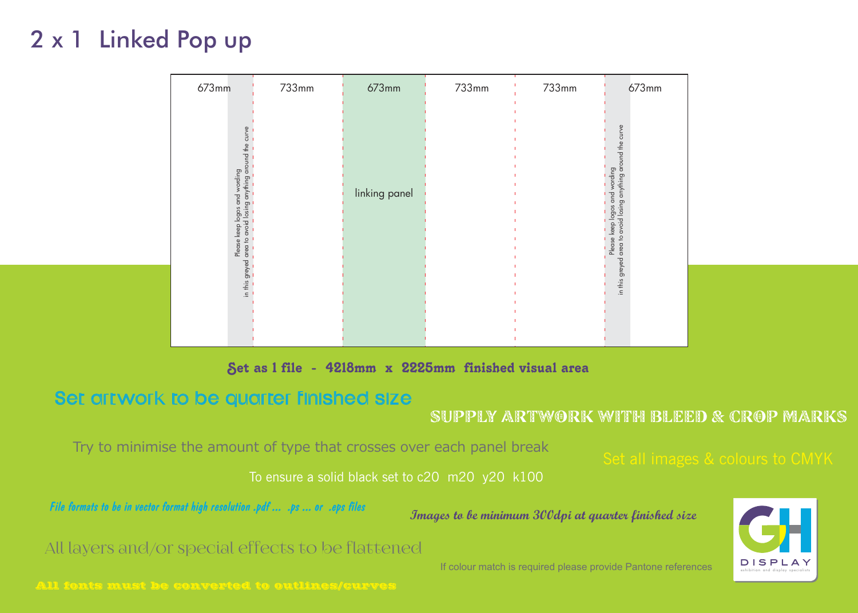## Set as 1 file - 4218mm x 2225mm finished visual area

## Set artwork to be quarter finished size



supply artwork with bleed & CROP MARKS

## Try to minimise the amount of type that crosses over each panel break

All layers and/or special effects to be flattened

*File formats to be in vector format high resolution .pdf ... .ps ... or .eps files*

To ensure a solid black set to c20 m20 y20 k100

Set all images & colours to CMYK

| 733mm | 673mm         | 733mm | 733mm | 673mm                                                                           |
|-------|---------------|-------|-------|---------------------------------------------------------------------------------|
|       |               |       |       |                                                                                 |
|       |               |       |       | Please keep logos and wording<br>area to avoid losing anything around the curve |
|       |               |       |       |                                                                                 |
|       | linking panel |       |       |                                                                                 |
|       |               |       |       |                                                                                 |
|       |               |       |       | greyed                                                                          |
|       |               |       |       | $\frac{1}{2}$ in this                                                           |
|       |               |       |       |                                                                                 |
|       |               |       |       |                                                                                 |

### **Images to be minimum 300dpi at quarter finished size**

If colour match is required please provide Pantone references

All fonts must be converted to outlines/curves

| 673mm |                                                                                                         | 733mm | 673mm         |
|-------|---------------------------------------------------------------------------------------------------------|-------|---------------|
|       | area to avoid losing anything around the curve<br>Please keep logos and wording<br>bed<br>in this greye |       | linking panel |

# 2 x 1 Linked Pop up